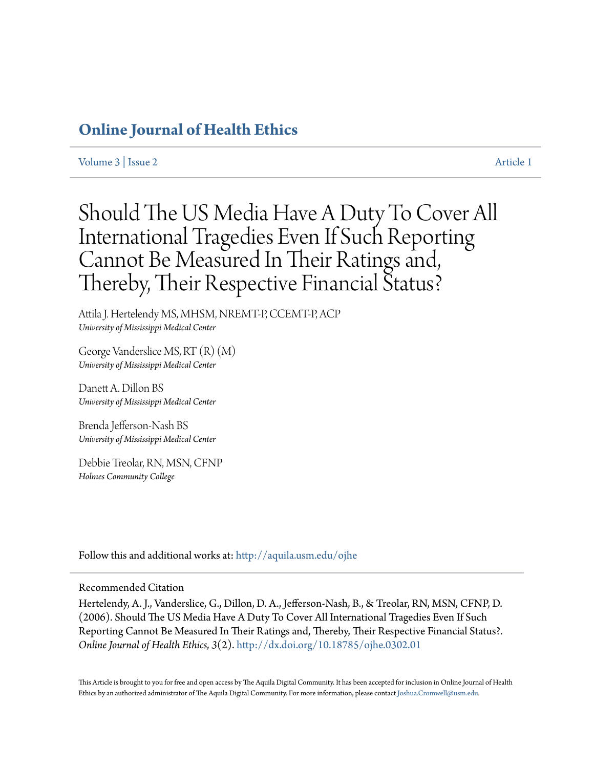# **[Online Journal of Health Ethics](http://aquila.usm.edu/ojhe?utm_source=aquila.usm.edu%2Fojhe%2Fvol3%2Fiss2%2F1&utm_medium=PDF&utm_campaign=PDFCoverPages)**

[Volume 3](http://aquila.usm.edu/ojhe/vol3?utm_source=aquila.usm.edu%2Fojhe%2Fvol3%2Fiss2%2F1&utm_medium=PDF&utm_campaign=PDFCoverPages) | [Issue 2](http://aquila.usm.edu/ojhe/vol3/iss2?utm_source=aquila.usm.edu%2Fojhe%2Fvol3%2Fiss2%2F1&utm_medium=PDF&utm_campaign=PDFCoverPages) [Article 1](http://aquila.usm.edu/ojhe/vol3/iss2/1?utm_source=aquila.usm.edu%2Fojhe%2Fvol3%2Fiss2%2F1&utm_medium=PDF&utm_campaign=PDFCoverPages)

# Should The US Media Have A Duty To Cover All International Tragedies Even If Such Reporting Cannot Be Measured In Their Ratings and, Thereby, Their Respective Financial Status?

Attila J. Hertelendy MS, MHSM, NREMT-P, CCEMT-P, ACP *University of Mississippi Medical Center*

George Vanderslice MS, RT (R) (M) *University of Mississippi Medical Center*

Danett A. Dillon BS *University of Mississippi Medical Center*

Brenda Jefferson-Nash BS *University of Mississippi Medical Center*

Debbie Treolar, RN, MSN, CFNP *Holmes Community College*

Follow this and additional works at: [http://aquila.usm.edu/ojhe](http://aquila.usm.edu/ojhe?utm_source=aquila.usm.edu%2Fojhe%2Fvol3%2Fiss2%2F1&utm_medium=PDF&utm_campaign=PDFCoverPages)

#### Recommended Citation

Hertelendy, A. J., Vanderslice, G., Dillon, D. A., Jefferson-Nash, B., & Treolar, RN, MSN, CFNP, D. (2006). Should The US Media Have A Duty To Cover All International Tragedies Even If Such Reporting Cannot Be Measured In Their Ratings and, Thereby, Their Respective Financial Status?. *Online Journal of Health Ethics, 3*(2). <http://dx.doi.org/10.18785/ojhe.0302.01>

This Article is brought to you for free and open access by The Aquila Digital Community. It has been accepted for inclusion in Online Journal of Health Ethics by an authorized administrator of The Aquila Digital Community. For more information, please contact [Joshua.Cromwell@usm.edu.](mailto:Joshua.Cromwell@usm.edu)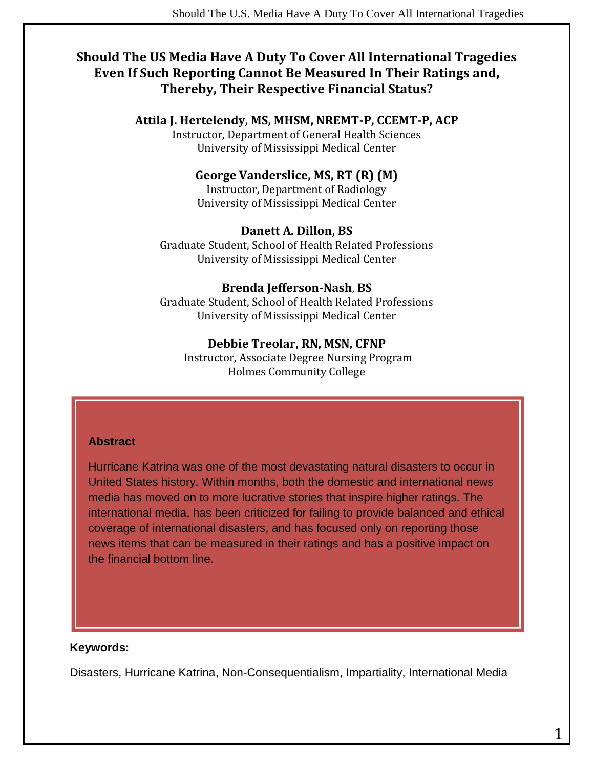# **Should The US Media Have A Duty To Cover All International Tragedies Even If Such Reporting Cannot Be Measured In Their Ratings and, Thereby, Their Respective Financial Status?**

#### **Attila J. Hertelendy, MS, MHSM, NREMT-P, CCEMT-P, ACP**

Instructor, Department of General Health Sciences University of Mississippi Medical Center

#### **George Vanderslice, MS, RT (R) (M)**

Instructor, Department of Radiology University of Mississippi Medical Center

#### **Danett A. Dillon, BS**

Graduate Student, School of Health Related Professions University of Mississippi Medical Center

#### **Brenda Jefferson-Nash**, **BS**

Graduate Student, School of Health Related Professions University of Mississippi Medical Center

#### **Debbie Treolar, RN, MSN, CFNP**

Instructor, Associate Degree Nursing Program Holmes Community College

#### **Abstract**

Hurricane Katrina was one of the most devastating natural disasters to occur in United States history. Within months, both the domestic and international news media has moved on to more lucrative stories that inspire higher ratings. The international media, has been criticized for failing to provide balanced and ethical coverage of international disasters, and has focused only on reporting those news items that can be measured in their ratings and has a positive impact on the financial bottom line.

#### **Keywords:**

Disasters, Hurricane Katrina, Non-Consequentialism, Impartiality, International Media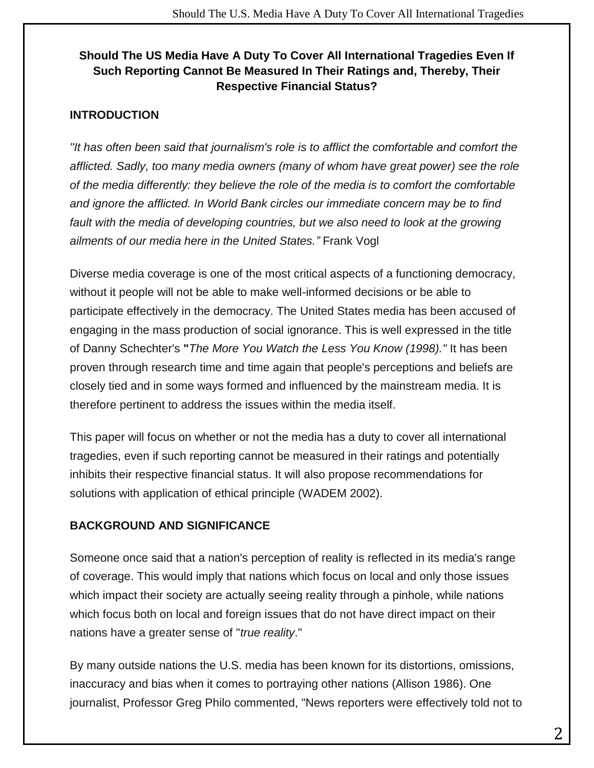## **Should The US Media Have A Duty To Cover All International Tragedies Even If Such Reporting Cannot Be Measured In Their Ratings and, Thereby, Their Respective Financial Status?**

#### **INTRODUCTION**

*"It has often been said that journalism's role is to afflict the comfortable and comfort the afflicted. Sadly, too many media owners (many of whom have great power) see the role of the media differently: they believe the role of the media is to comfort the comfortable and ignore the afflicted. In World Bank circles our immediate concern may be to find*  fault with the media of developing countries, but we also need to look at the growing *ailments of our media here in the United States."* Frank Vogl

Diverse media coverage is one of the most critical aspects of a functioning democracy, without it people will not be able to make well-informed decisions or be able to participate effectively in the democracy. The United States media has been accused of engaging in the mass production of social ignorance. This is well expressed in the title of Danny Schechter's **"***The More You Watch the Less You Know (1998)."* It has been proven through research time and time again that people's perceptions and beliefs are closely tied and in some ways formed and influenced by the mainstream media. It is therefore pertinent to address the issues within the media itself.

This paper will focus on whether or not the media has a duty to cover all international tragedies, even if such reporting cannot be measured in their ratings and potentially inhibits their respective financial status. It will also propose recommendations for solutions with application of ethical principle (WADEM 2002).

### **BACKGROUND AND SIGNIFICANCE**

Someone once said that a nation's perception of reality is reflected in its media's range of coverage. This would imply that nations which focus on local and only those issues which impact their society are actually seeing reality through a pinhole, while nations which focus both on local and foreign issues that do not have direct impact on their nations have a greater sense of "*true reality*."

By many outside nations the U.S. media has been known for its distortions, omissions, inaccuracy and bias when it comes to portraying other nations (Allison 1986). One journalist, Professor Greg Philo commented, "News reporters were effectively told not to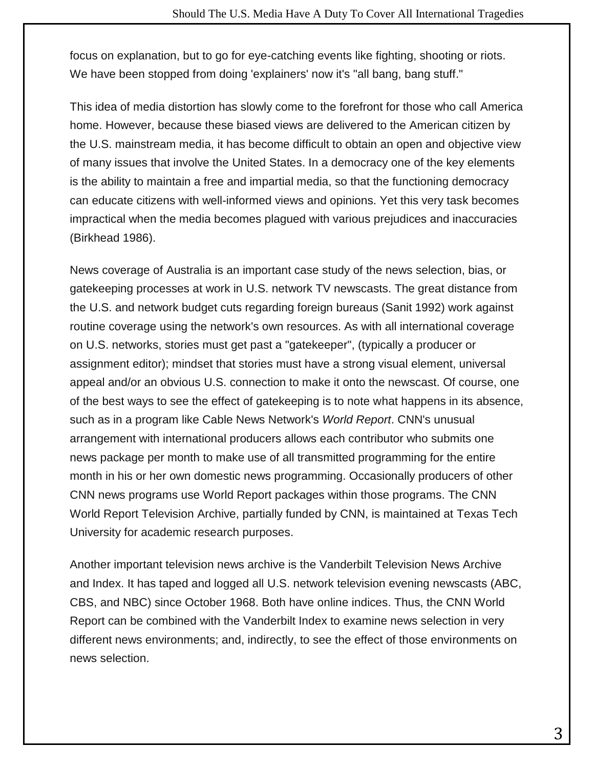focus on explanation, but to go for eye-catching events like fighting, shooting or riots. We have been stopped from doing 'explainers' now it's "all bang, bang stuff."

This idea of media distortion has slowly come to the forefront for those who call America home. However, because these biased views are delivered to the American citizen by the U.S. mainstream media, it has become difficult to obtain an open and objective view of many issues that involve the United States. In a democracy one of the key elements is the ability to maintain a free and impartial media, so that the functioning democracy can educate citizens with well-informed views and opinions. Yet this very task becomes impractical when the media becomes plagued with various prejudices and inaccuracies (Birkhead 1986).

News coverage of Australia is an important case study of the news selection, bias, or gatekeeping processes at work in U.S. network TV newscasts. The great distance from the U.S. and network budget cuts regarding foreign bureaus (Sanit 1992) work against routine coverage using the network's own resources. As with all international coverage on U.S. networks, stories must get past a "gatekeeper", (typically a producer or assignment editor); mindset that stories must have a strong visual element, universal appeal and/or an obvious U.S. connection to make it onto the newscast. Of course, one of the best ways to see the effect of gatekeeping is to note what happens in its absence, such as in a program like Cable News Network's *World Report*. CNN's unusual arrangement with international producers allows each contributor who submits one news package per month to make use of all transmitted programming for the entire month in his or her own domestic news programming. Occasionally producers of other CNN news programs use World Report packages within those programs. The CNN World Report Television Archive, partially funded by CNN, is maintained at Texas Tech University for academic research purposes.

Another important television news archive is the Vanderbilt Television News Archive and Index. It has taped and logged all U.S. network television evening newscasts (ABC, CBS, and NBC) since October 1968. Both have online indices. Thus, the CNN World Report can be combined with the Vanderbilt Index to examine news selection in very different news environments; and, indirectly, to see the effect of those environments on news selection.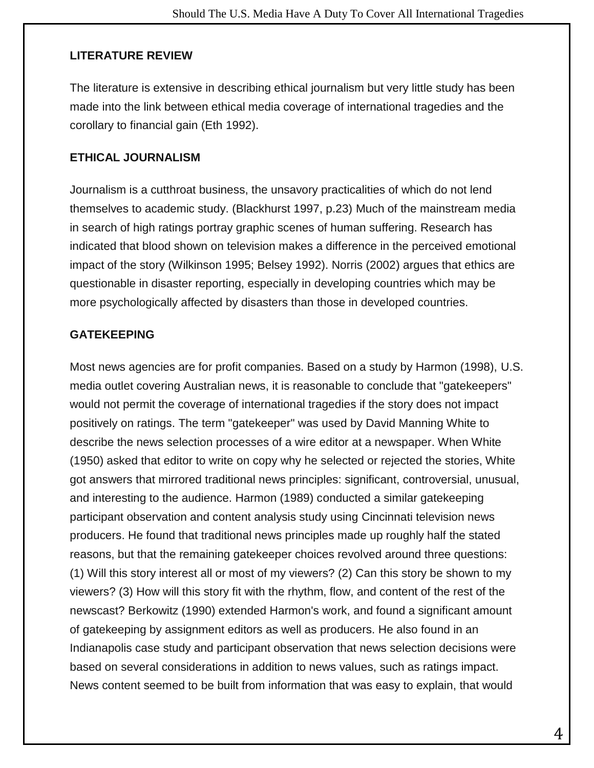#### **LITERATURE REVIEW**

The literature is extensive in describing ethical journalism but very little study has been made into the link between ethical media coverage of international tragedies and the corollary to financial gain (Eth 1992).

#### **ETHICAL JOURNALISM**

Journalism is a cutthroat business, the unsavory practicalities of which do not lend themselves to academic study. (Blackhurst 1997, p.23) Much of the mainstream media in search of high ratings portray graphic scenes of human suffering. Research has indicated that blood shown on television makes a difference in the perceived emotional impact of the story (Wilkinson 1995; Belsey 1992). Norris (2002) argues that ethics are questionable in disaster reporting, especially in developing countries which may be more psychologically affected by disasters than those in developed countries.

#### **GATEKEEPING**

Most news agencies are for profit companies. Based on a study by Harmon (1998), U.S. media outlet covering Australian news, it is reasonable to conclude that "gatekeepers" would not permit the coverage of international tragedies if the story does not impact positively on ratings. The term "gatekeeper" was used by David Manning White to describe the news selection processes of a wire editor at a newspaper. When White (1950) asked that editor to write on copy why he selected or rejected the stories, White got answers that mirrored traditional news principles: significant, controversial, unusual, and interesting to the audience. Harmon (1989) conducted a similar gatekeeping participant observation and content analysis study using Cincinnati television news producers. He found that traditional news principles made up roughly half the stated reasons, but that the remaining gatekeeper choices revolved around three questions: (1) Will this story interest all or most of my viewers? (2) Can this story be shown to my viewers? (3) How will this story fit with the rhythm, flow, and content of the rest of the newscast? Berkowitz (1990) extended Harmon's work, and found a significant amount of gatekeeping by assignment editors as well as producers. He also found in an Indianapolis case study and participant observation that news selection decisions were based on several considerations in addition to news values, such as ratings impact. News content seemed to be built from information that was easy to explain, that would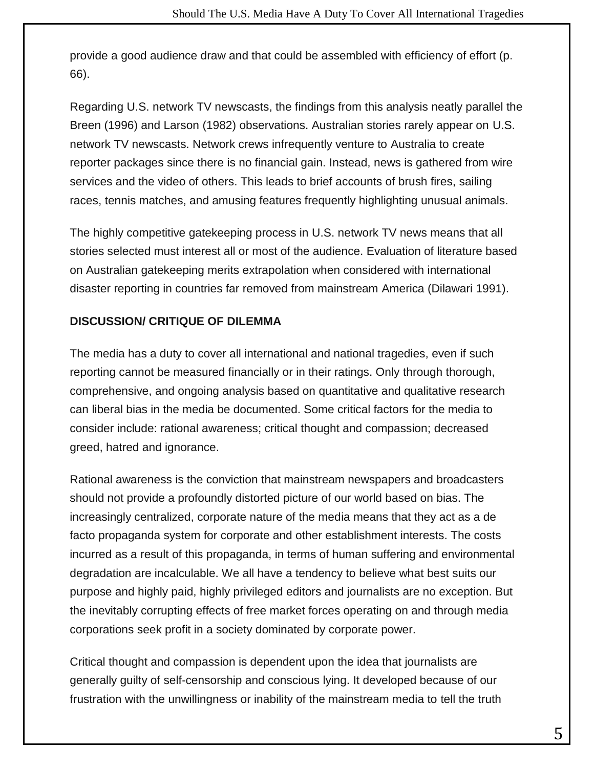provide a good audience draw and that could be assembled with efficiency of effort (p. 66).

Regarding U.S. network TV newscasts, the findings from this analysis neatly parallel the Breen (1996) and Larson (1982) observations. Australian stories rarely appear on U.S. network TV newscasts. Network crews infrequently venture to Australia to create reporter packages since there is no financial gain. Instead, news is gathered from wire services and the video of others. This leads to brief accounts of brush fires, sailing races, tennis matches, and amusing features frequently highlighting unusual animals.

The highly competitive gatekeeping process in U.S. network TV news means that all stories selected must interest all or most of the audience. Evaluation of literature based on Australian gatekeeping merits extrapolation when considered with international disaster reporting in countries far removed from mainstream America (Dilawari 1991).

### **DISCUSSION/ CRITIQUE OF DILEMMA**

The media has a duty to cover all international and national tragedies, even if such reporting cannot be measured financially or in their ratings. Only through thorough, comprehensive, and ongoing analysis based on quantitative and qualitative research can liberal bias in the media be documented. Some critical factors for the media to consider include: rational awareness; critical thought and compassion; decreased greed, hatred and ignorance.

Rational awareness is the conviction that mainstream newspapers and broadcasters should not provide a profoundly distorted picture of our world based on bias. The increasingly centralized, corporate nature of the media means that they act as a de facto propaganda system for corporate and other establishment interests. The costs incurred as a result of this propaganda, in terms of human suffering and environmental degradation are incalculable. We all have a tendency to believe what best suits our purpose and highly paid, highly privileged editors and journalists are no exception. But the inevitably corrupting effects of free market forces operating on and through media corporations seek profit in a society dominated by corporate power.

Critical thought and compassion is dependent upon the idea that journalists are generally guilty of self-censorship and conscious lying. It developed because of our frustration with the unwillingness or inability of the mainstream media to tell the truth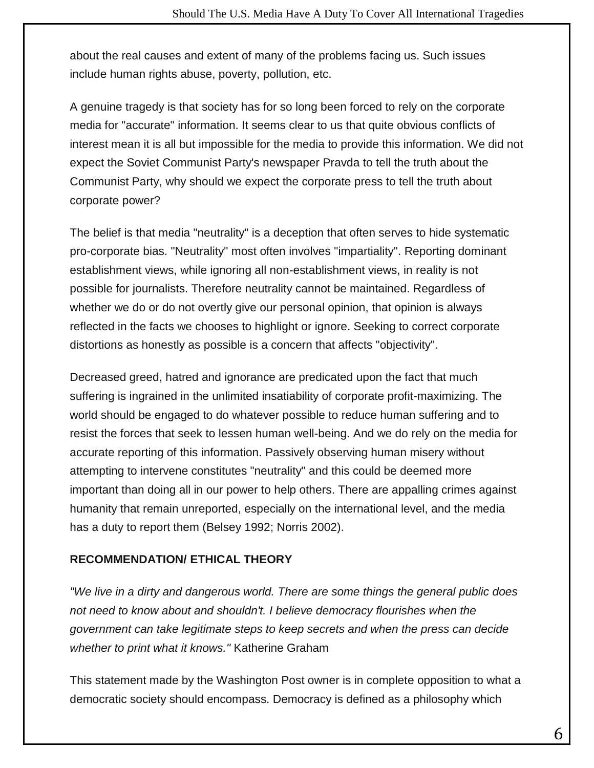about the real causes and extent of many of the problems facing us. Such issues include human rights abuse, poverty, pollution, etc.

A genuine tragedy is that society has for so long been forced to rely on the corporate media for "accurate" information. It seems clear to us that quite obvious conflicts of interest mean it is all but impossible for the media to provide this information. We did not expect the Soviet Communist Party's newspaper Pravda to tell the truth about the Communist Party, why should we expect the corporate press to tell the truth about corporate power?

The belief is that media "neutrality" is a deception that often serves to hide systematic pro-corporate bias. "Neutrality" most often involves "impartiality". Reporting dominant establishment views, while ignoring all non-establishment views, in reality is not possible for journalists. Therefore neutrality cannot be maintained. Regardless of whether we do or do not overtly give our personal opinion, that opinion is always reflected in the facts we chooses to highlight or ignore. Seeking to correct corporate distortions as honestly as possible is a concern that affects "objectivity".

Decreased greed, hatred and ignorance are predicated upon the fact that much suffering is ingrained in the unlimited insatiability of corporate profit-maximizing. The world should be engaged to do whatever possible to reduce human suffering and to resist the forces that seek to lessen human well-being. And we do rely on the media for accurate reporting of this information. Passively observing human misery without attempting to intervene constitutes "neutrality" and this could be deemed more important than doing all in our power to help others. There are appalling crimes against humanity that remain unreported, especially on the international level, and the media has a duty to report them (Belsey 1992; Norris 2002).

### **RECOMMENDATION/ ETHICAL THEORY**

*"We live in a dirty and dangerous world. There are some things the general public does not need to know about and shouldn't. I believe democracy flourishes when the government can take legitimate steps to keep secrets and when the press can decide whether to print what it knows."* Katherine Graham

This statement made by the Washington Post owner is in complete opposition to what a democratic society should encompass. Democracy is defined as a philosophy which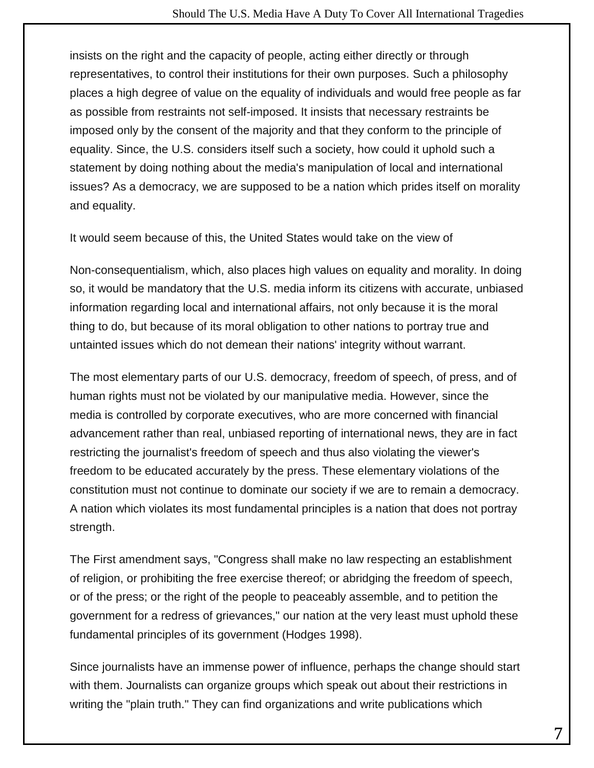insists on the right and the capacity of people, acting either directly or through representatives, to control their institutions for their own purposes. Such a philosophy places a high degree of value on the equality of individuals and would free people as far as possible from restraints not self-imposed. It insists that necessary restraints be imposed only by the consent of the majority and that they conform to the principle of equality. Since, the U.S. considers itself such a society, how could it uphold such a statement by doing nothing about the media's manipulation of local and international issues? As a democracy, we are supposed to be a nation which prides itself on morality and equality.

It would seem because of this, the United States would take on the view of

Non-consequentialism, which, also places high values on equality and morality. In doing so, it would be mandatory that the U.S. media inform its citizens with accurate, unbiased information regarding local and international affairs, not only because it is the moral thing to do, but because of its moral obligation to other nations to portray true and untainted issues which do not demean their nations' integrity without warrant.

The most elementary parts of our U.S. democracy, freedom of speech, of press, and of human rights must not be violated by our manipulative media. However, since the media is controlled by corporate executives, who are more concerned with financial advancement rather than real, unbiased reporting of international news, they are in fact restricting the journalist's freedom of speech and thus also violating the viewer's freedom to be educated accurately by the press. These elementary violations of the constitution must not continue to dominate our society if we are to remain a democracy. A nation which violates its most fundamental principles is a nation that does not portray strength.

The First amendment says, "Congress shall make no law respecting an establishment of religion, or prohibiting the free exercise thereof; or abridging the freedom of speech, or of the press; or the right of the people to peaceably assemble, and to petition the government for a redress of grievances," our nation at the very least must uphold these fundamental principles of its government (Hodges 1998).

Since journalists have an immense power of influence, perhaps the change should start with them. Journalists can organize groups which speak out about their restrictions in writing the "plain truth." They can find organizations and write publications which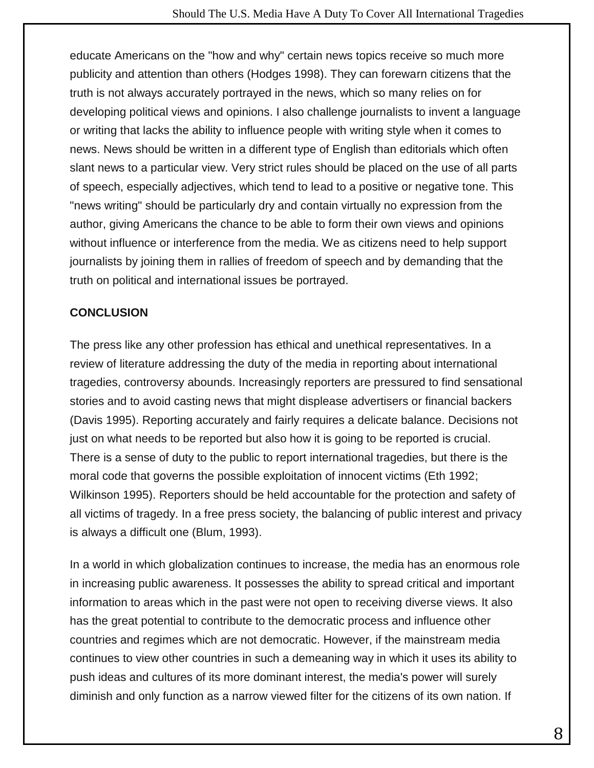educate Americans on the "how and why" certain news topics receive so much more publicity and attention than others (Hodges 1998). They can forewarn citizens that the truth is not always accurately portrayed in the news, which so many relies on for developing political views and opinions. I also challenge journalists to invent a language or writing that lacks the ability to influence people with writing style when it comes to news. News should be written in a different type of English than editorials which often slant news to a particular view. Very strict rules should be placed on the use of all parts of speech, especially adjectives, which tend to lead to a positive or negative tone. This "news writing" should be particularly dry and contain virtually no expression from the author, giving Americans the chance to be able to form their own views and opinions without influence or interference from the media. We as citizens need to help support journalists by joining them in rallies of freedom of speech and by demanding that the truth on political and international issues be portrayed.

### **CONCLUSION**

The press like any other profession has ethical and unethical representatives. In a review of literature addressing the duty of the media in reporting about international tragedies, controversy abounds. Increasingly reporters are pressured to find sensational stories and to avoid casting news that might displease advertisers or financial backers (Davis 1995). Reporting accurately and fairly requires a delicate balance. Decisions not just on what needs to be reported but also how it is going to be reported is crucial. There is a sense of duty to the public to report international tragedies, but there is the moral code that governs the possible exploitation of innocent victims (Eth 1992; Wilkinson 1995). Reporters should be held accountable for the protection and safety of all victims of tragedy. In a free press society, the balancing of public interest and privacy is always a difficult one (Blum, 1993).

In a world in which globalization continues to increase, the media has an enormous role in increasing public awareness. It possesses the ability to spread critical and important information to areas which in the past were not open to receiving diverse views. It also has the great potential to contribute to the democratic process and influence other countries and regimes which are not democratic. However, if the mainstream media continues to view other countries in such a demeaning way in which it uses its ability to push ideas and cultures of its more dominant interest, the media's power will surely diminish and only function as a narrow viewed filter for the citizens of its own nation. If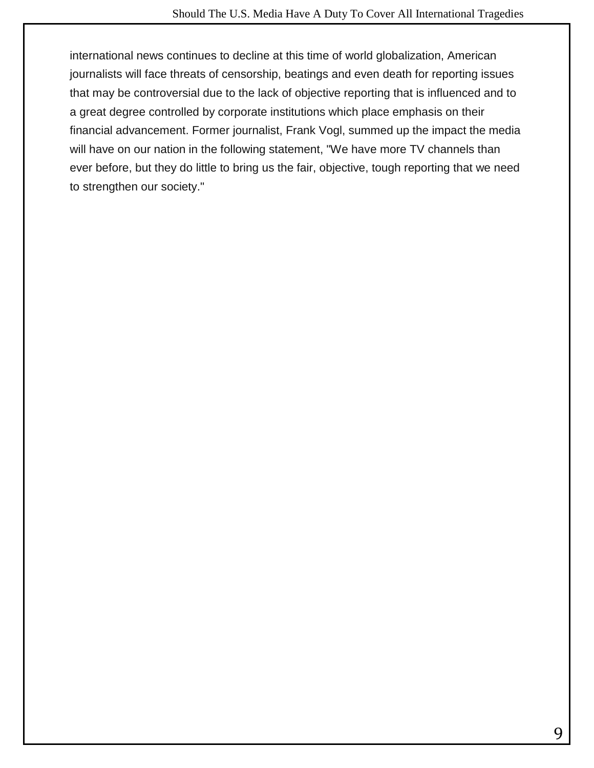international news continues to decline at this time of world globalization, American journalists will face threats of censorship, beatings and even death for reporting issues that may be controversial due to the lack of objective reporting that is influenced and to a great degree controlled by corporate institutions which place emphasis on their financial advancement. Former journalist, Frank Vogl, summed up the impact the media will have on our nation in the following statement, "We have more TV channels than ever before, but they do little to bring us the fair, objective, tough reporting that we need to strengthen our society."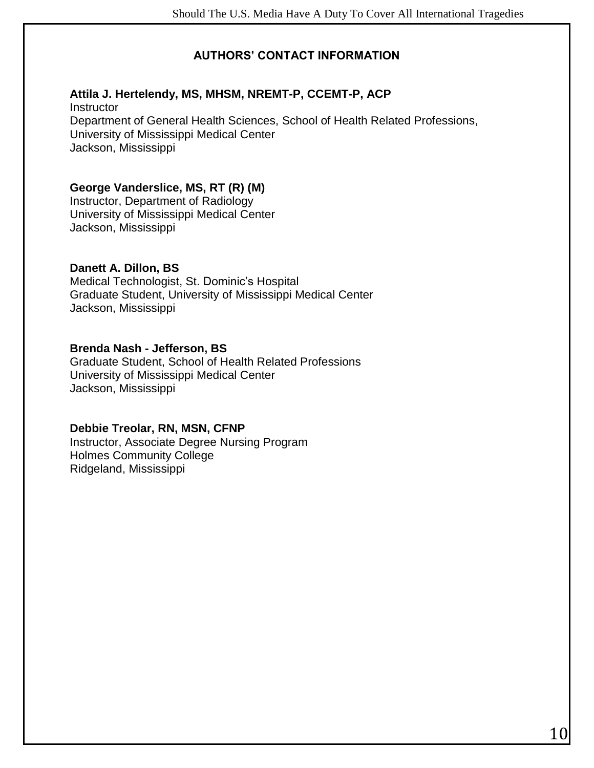#### **AUTHORS' CONTACT INFORMATION**

#### **Attila J. Hertelendy, MS, MHSM, NREMT-P, CCEMT-P, ACP**

**Instructor** Department of General Health Sciences, School of Health Related Professions, University of Mississippi Medical Center Jackson, Mississippi

#### **George Vanderslice, MS, RT (R) (M)**

Instructor, Department of Radiology University of Mississippi Medical Center Jackson, Mississippi

#### **Danett A. Dillon, BS**

Medical Technologist, St. Dominic's Hospital Graduate Student, University of Mississippi Medical Center Jackson, Mississippi

#### **Brenda Nash - Jefferson, BS**

Graduate Student, School of Health Related Professions University of Mississippi Medical Center Jackson, Mississippi

#### **Debbie Treolar, RN, MSN, CFNP**

Instructor, Associate Degree Nursing Program Holmes Community College Ridgeland, Mississippi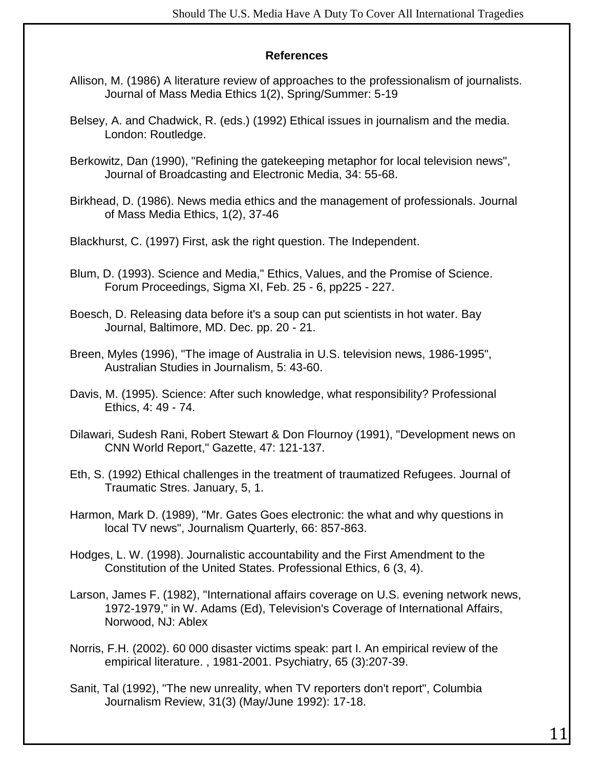#### **References**

- Allison, M. (1986) A literature review of approaches to the professionalism of journalists. Journal of Mass Media Ethics 1(2), Spring/Summer: 5-19
- Belsey, A. and Chadwick, R. (eds.) (1992) Ethical issues in journalism and the media. London: Routledge.
- Berkowitz, Dan (1990), "Refining the gatekeeping metaphor for local television news", Journal of Broadcasting and Electronic Media, 34: 55-68.
- Birkhead, D. (1986). News media ethics and the management of professionals. Journal of Mass Media Ethics, 1(2), 37-46

Blackhurst, C. (1997) First, ask the right question. The Independent.

- Blum, D. (1993). Science and Media," Ethics, Values, and the Promise of Science. Forum Proceedings, Sigma XI, Feb. 25 - 6, pp225 - 227.
- Boesch, D. Releasing data before it's a soup can put scientists in hot water. Bay Journal, Baltimore, MD. Dec. pp. 20 - 21.
- Breen, Myles (1996), "The image of Australia in U.S. television news, 1986-1995", Australian Studies in Journalism, 5: 43-60.
- Davis, M. (1995). Science: After such knowledge, what responsibility? Professional Ethics, 4: 49 - 74.
- Dilawari, Sudesh Rani, Robert Stewart & Don Flournoy (1991), "Development news on CNN World Report," Gazette, 47: 121-137.
- Eth, S. (1992) Ethical challenges in the treatment of traumatized Refugees. Journal of Traumatic Stres. January, 5, 1.
- Harmon, Mark D. (1989), "Mr. Gates Goes electronic: the what and why questions in local TV news", Journalism Quarterly, 66: 857-863.
- Hodges, L. W. (1998). Journalistic accountability and the First Amendment to the Constitution of the United States. Professional Ethics, 6 (3, 4).
- Larson, James F. (1982), "International affairs coverage on U.S. evening network news, 1972-1979," in W. Adams (Ed), Television's Coverage of International Affairs, Norwood, NJ: Ablex
- Norris, F.H. (2002). 60 000 disaster victims speak: part I. An empirical review of the empirical literature. , 1981-2001. Psychiatry, 65 (3):207-39.
- Sanit, Tal (1992), "The new unreality, when TV reporters don't report", Columbia Journalism Review, 31(3) (May/June 1992): 17-18.